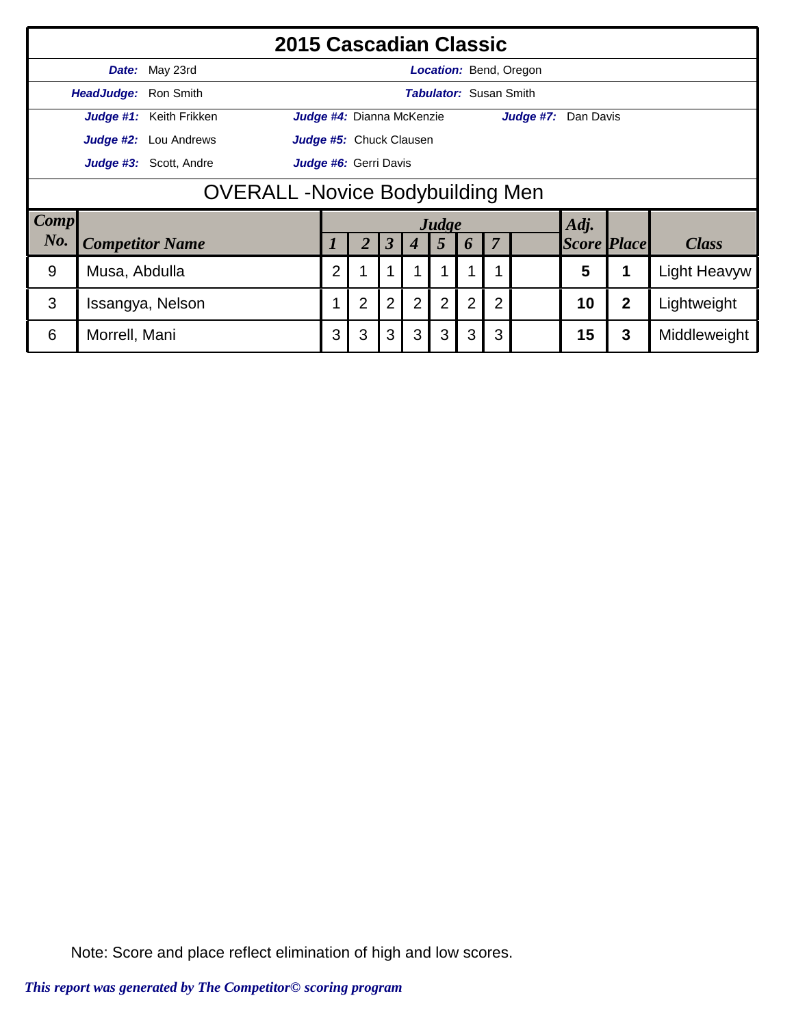|                                 | 2015 Cascadian Classic                          |                         |                         |                                                            |                           |                      |                  |                |                |                               |                        |                    |                  |              |
|---------------------------------|-------------------------------------------------|-------------------------|-------------------------|------------------------------------------------------------|---------------------------|----------------------|------------------|----------------|----------------|-------------------------------|------------------------|--------------------|------------------|--------------|
|                                 | Date:                                           | May 23rd                |                         |                                                            |                           |                      |                  |                |                |                               | Location: Bend, Oregon |                    |                  |              |
|                                 | HeadJudge: Ron Smith                            |                         |                         |                                                            |                           |                      |                  |                |                | <b>Tabulator:</b> Susan Smith |                        |                    |                  |              |
|                                 |                                                 | Judge #1: Keith Frikken |                         |                                                            | Judge #4: Dianna McKenzie |                      |                  |                |                |                               | Judge #7: Dan Davis    |                    |                  |              |
|                                 | Judge #2:                                       | Lou Andrews             | Judge #5: Chuck Clausen |                                                            |                           |                      |                  |                |                |                               |                        |                    |                  |              |
|                                 | Judge #3: Scott, Andre<br>Judge #6: Gerri Davis |                         |                         |                                                            |                           |                      |                  |                |                |                               |                        |                    |                  |              |
|                                 | <b>OVERALL - Novice Bodybuilding Men</b>        |                         |                         |                                                            |                           |                      |                  |                |                |                               |                        |                    |                  |              |
| $\lfloor \textit{Comp} \rfloor$ |                                                 |                         |                         |                                                            |                           |                      |                  | Judge          |                |                               |                        | Adj.               |                  |              |
| No.                             |                                                 | <b>Competitor Name</b>  |                         |                                                            | $\overline{2}$            | $\boldsymbol{\beta}$ | $\boldsymbol{4}$ | 5              | 6              | $\overline{7}$                |                        | <b>Score Place</b> |                  | <b>Class</b> |
| 9                               | Musa, Abdulla                                   |                         |                         | $\overline{2}$<br>5<br><b>Light Heavyw</b>                 |                           |                      |                  |                |                |                               |                        |                    |                  |              |
| 3                               |                                                 | Issangya, Nelson        |                         |                                                            | $\overline{2}$            | $\overline{2}$       | $\overline{2}$   | $\overline{2}$ | $\overline{2}$ | $\overline{2}$                |                        | 10                 | $\boldsymbol{2}$ | Lightweight  |
| 6                               | Morrell, Mani                                   |                         |                         | 3<br>3<br>3<br>3<br>3<br>15<br>3<br>3<br>3<br>Middleweight |                           |                      |                  |                |                |                               |                        |                    |                  |              |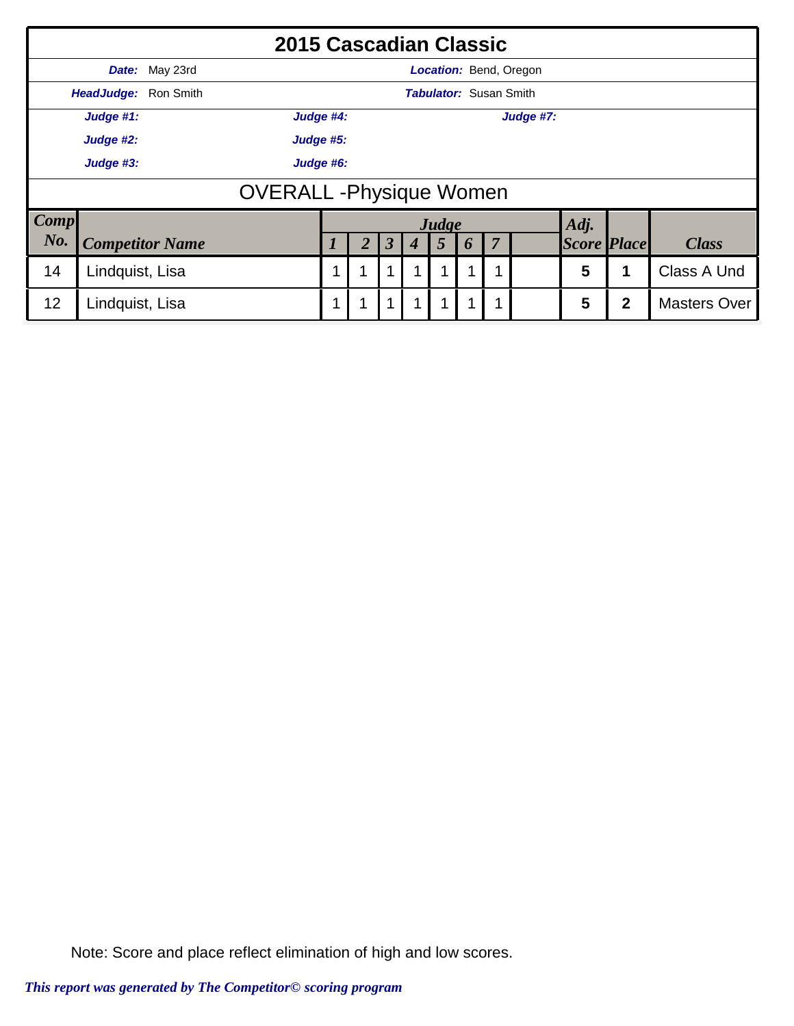|             | 2015 Cascadian Classic          |                        |           |   |   |             |   |                               |   |             |                               |                    |              |                     |
|-------------|---------------------------------|------------------------|-----------|---|---|-------------|---|-------------------------------|---|-------------|-------------------------------|--------------------|--------------|---------------------|
|             |                                 | Date: May 23rd         |           |   |   |             |   |                               |   |             | <b>Location: Bend, Oregon</b> |                    |              |                     |
|             | HeadJudge: Ron Smith            |                        |           |   |   |             |   | <b>Tabulator: Susan Smith</b> |   |             |                               |                    |              |                     |
|             | Judge #1:                       |                        | Judge #4: |   |   |             |   |                               |   |             | Judge #7:                     |                    |              |                     |
|             | Judge #2:<br>Judge #5:          |                        |           |   |   |             |   |                               |   |             |                               |                    |              |                     |
|             | Judge #3:<br>Judge #6:          |                        |           |   |   |             |   |                               |   |             |                               |                    |              |                     |
|             | <b>OVERALL</b> - Physique Women |                        |           |   |   |             |   |                               |   |             |                               |                    |              |                     |
| <b>Comp</b> |                                 |                        |           |   |   |             |   | Judge                         |   |             |                               | Adj.               |              |                     |
| No.         |                                 | <b>Competitor Name</b> |           |   |   | 3           |   | 5                             | 6 | 7           |                               | <b>Score Place</b> |              | <b>Class</b>        |
| 14          | Lindquist, Lisa                 |                        |           | 1 | 1 | 1           | 1 |                               |   | $\mathbf 1$ |                               | 5                  |              | Class A Und         |
| 12          | Lindquist, Lisa                 |                        |           | 1 | 1 | $\mathbf 1$ | 1 |                               |   | $\mathbf 1$ |                               | 5                  | $\mathbf{2}$ | <b>Masters Over</b> |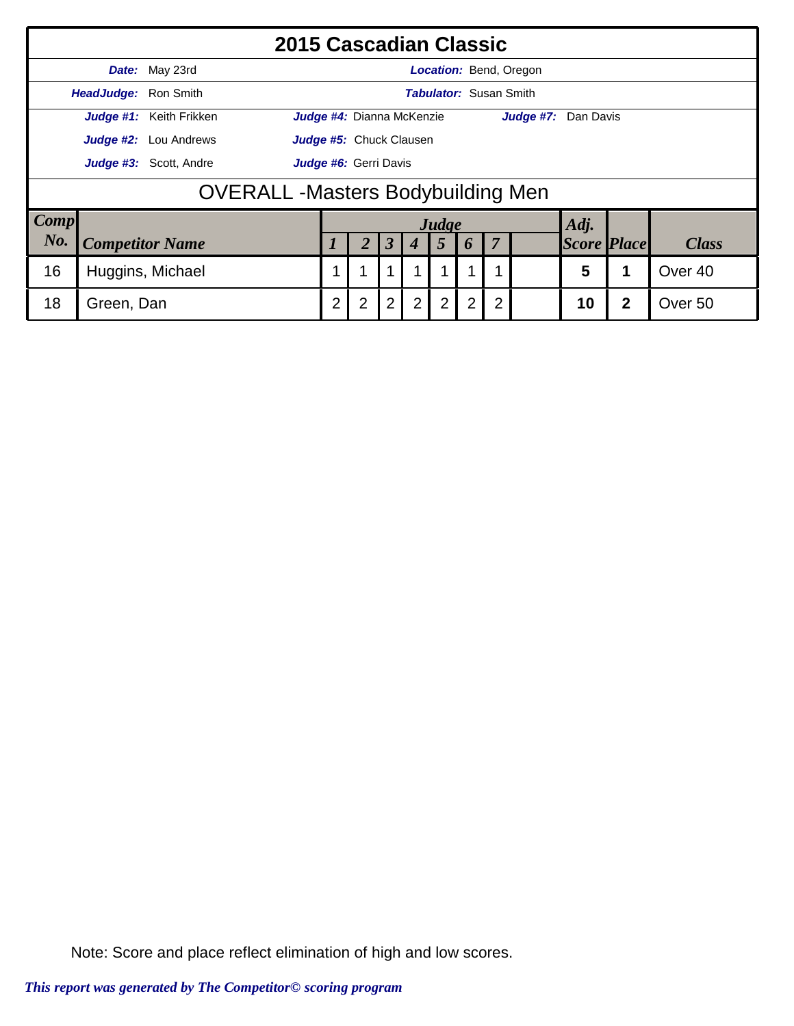|             | 2015 Cascadian Classic                          |                              |                                                                                                                                |  |   |  |       |                               |                |                               |                    |  |              |  |
|-------------|-------------------------------------------------|------------------------------|--------------------------------------------------------------------------------------------------------------------------------|--|---|--|-------|-------------------------------|----------------|-------------------------------|--------------------|--|--------------|--|
|             |                                                 | Date: May 23rd               |                                                                                                                                |  |   |  |       |                               |                | <b>Location: Bend, Oregon</b> |                    |  |              |  |
|             | HeadJudge: Ron Smith                            |                              |                                                                                                                                |  |   |  |       | <b>Tabulator:</b> Susan Smith |                |                               |                    |  |              |  |
|             |                                                 | Judge #1: Keith Frikken      | Judge #4: Dianna McKenzie                                                                                                      |  |   |  |       |                               |                | Judge #7: Dan Davis           |                    |  |              |  |
|             |                                                 | <b>Judge #2:</b> Lou Andrews | Judge #5: Chuck Clausen                                                                                                        |  |   |  |       |                               |                |                               |                    |  |              |  |
|             | Judge #3: Scott, Andre<br>Judge #6: Gerri Davis |                              |                                                                                                                                |  |   |  |       |                               |                |                               |                    |  |              |  |
|             | <b>OVERALL</b> - Masters Bodybuilding Men       |                              |                                                                                                                                |  |   |  |       |                               |                |                               |                    |  |              |  |
| <b>Comp</b> |                                                 |                              |                                                                                                                                |  |   |  | Judge |                               |                |                               | Adj.               |  |              |  |
| No.         |                                                 | <b>Competitor Name</b>       |                                                                                                                                |  | 3 |  | 5     | 6                             | $\overline{7}$ |                               | <b>Score Place</b> |  | <b>Class</b> |  |
| 16          |                                                 | Huggins, Michael             | 5<br>Over <sub>40</sub><br>1<br>1                                                                                              |  |   |  |       |                               |                |                               |                    |  |              |  |
| 18          | Green, Dan                                      |                              | $\overline{2}$<br>2<br>$\overline{2}$<br>$2^{\circ}$<br>$\overline{2}$<br>2<br>$\overline{2}$<br>$\mathbf{2}$<br>10<br>Over 50 |  |   |  |       |                               |                |                               |                    |  |              |  |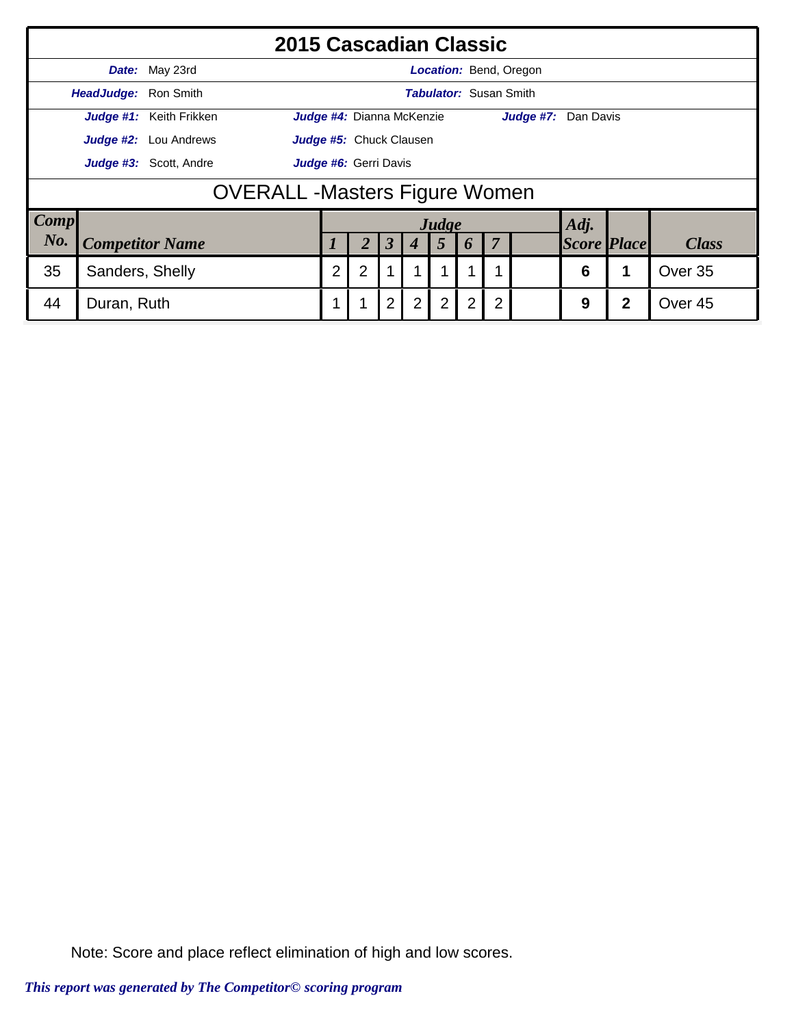|             | 2015 Cascadian Classic                                                                                     |                              |                         |                                                                 |                           |                      |   |       |   |                               |                               |                    |  |              |  |
|-------------|------------------------------------------------------------------------------------------------------------|------------------------------|-------------------------|-----------------------------------------------------------------|---------------------------|----------------------|---|-------|---|-------------------------------|-------------------------------|--------------------|--|--------------|--|
|             |                                                                                                            | Date: May 23rd               |                         |                                                                 |                           |                      |   |       |   |                               | <b>Location: Bend, Oregon</b> |                    |  |              |  |
|             | HeadJudge: Ron Smith                                                                                       |                              |                         |                                                                 |                           |                      |   |       |   | <b>Tabulator: Susan Smith</b> |                               |                    |  |              |  |
|             |                                                                                                            | Judge #1: Keith Frikken      |                         |                                                                 | Judge #4: Dianna McKenzie |                      |   |       |   |                               | Judge #7: Dan Davis           |                    |  |              |  |
|             |                                                                                                            | <b>Judge #2:</b> Lou Andrews | Judge #5: Chuck Clausen |                                                                 |                           |                      |   |       |   |                               |                               |                    |  |              |  |
|             | Judge #3: Scott, Andre<br>Judge #6: Gerri Davis                                                            |                              |                         |                                                                 |                           |                      |   |       |   |                               |                               |                    |  |              |  |
|             | <b>OVERALL-Masters Figure Women</b>                                                                        |                              |                         |                                                                 |                           |                      |   |       |   |                               |                               |                    |  |              |  |
| <b>Comp</b> |                                                                                                            |                              |                         |                                                                 |                           |                      |   | Judge |   |                               |                               | Adj.               |  |              |  |
| No.         |                                                                                                            | <b>Competitor Name</b>       |                         |                                                                 |                           | $\boldsymbol{\beta}$ | 4 | 5     | 6 | $\overline{7}$                |                               | <b>Score Place</b> |  | <b>Class</b> |  |
| 35          | Sanders, Shelly                                                                                            |                              |                         | $\overline{2}$<br>$\overline{2}$<br>1<br>1<br>6<br>Over 35<br>1 |                           |                      |   |       |   |                               |                               |                    |  |              |  |
| 44          | $\overline{2}$<br>2 <sub>1</sub><br>2<br>$\overline{2}$<br>2<br>2<br>1<br>1<br>Duran, Ruth<br>9<br>Over 45 |                              |                         |                                                                 |                           |                      |   |       |   |                               |                               |                    |  |              |  |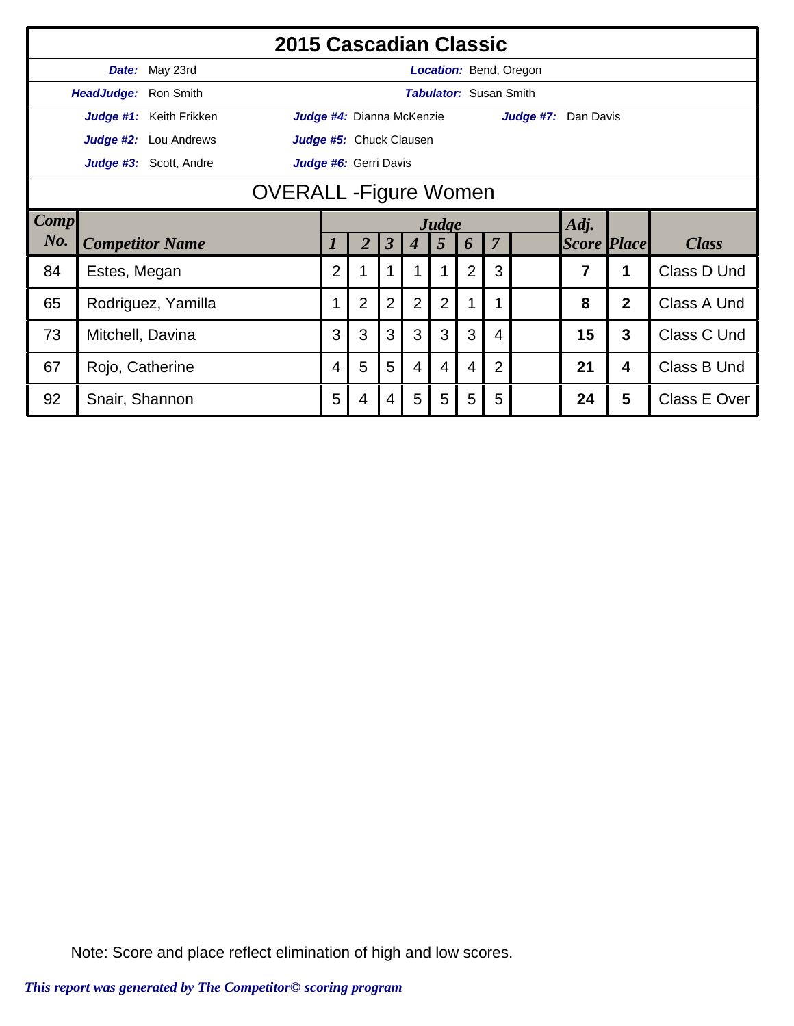|      | 2015 Cascadian Classic                          |                         |  |                |                           |                      |                  |                 |   |                               |                               |                    |                |              |
|------|-------------------------------------------------|-------------------------|--|----------------|---------------------------|----------------------|------------------|-----------------|---|-------------------------------|-------------------------------|--------------------|----------------|--------------|
|      | Date:                                           | May 23rd                |  |                |                           |                      |                  |                 |   |                               | <b>Location: Bend, Oregon</b> |                    |                |              |
|      | HeadJudge: Ron Smith                            |                         |  |                |                           |                      |                  |                 |   | <b>Tabulator: Susan Smith</b> |                               |                    |                |              |
|      |                                                 | Judge #1: Keith Frikken |  |                | Judge #4: Dianna McKenzie |                      |                  |                 |   |                               | Judge #7: Dan Davis           |                    |                |              |
|      |                                                 | Judge #2: Lou Andrews   |  |                | Judge #5: Chuck Clausen   |                      |                  |                 |   |                               |                               |                    |                |              |
|      | Judge #3: Scott, Andre<br>Judge #6: Gerri Davis |                         |  |                |                           |                      |                  |                 |   |                               |                               |                    |                |              |
|      | <b>OVERALL</b> - Figure Women                   |                         |  |                |                           |                      |                  |                 |   |                               |                               |                    |                |              |
| Comp |                                                 |                         |  |                |                           |                      |                  | Judge           |   |                               |                               | Adj.               |                |              |
| No.  |                                                 | <b>Competitor Name</b>  |  | 1              | $\overline{2}$            | $\boldsymbol{\beta}$ | $\boldsymbol{4}$ | $5\overline{)}$ | 6 | $\overline{7}$                |                               | <b>Score Place</b> |                | <b>Class</b> |
| 84   | Estes, Megan                                    |                         |  | $\overline{2}$ |                           |                      |                  |                 | 2 | 3                             |                               | 7                  | 1              | Class D Und  |
| 65   |                                                 | Rodriguez, Yamilla      |  |                | $\overline{2}$            | $\overline{2}$       | $\overline{2}$   | $\overline{2}$  |   |                               |                               | 8                  | $\overline{2}$ | Class A Und  |
| 73   | Mitchell, Davina                                |                         |  | 3              | 3                         | 3                    | 3                | 3               | 3 | 4                             |                               | 15                 | 3              | Class C Und  |
| 67   | Rojo, Catherine                                 |                         |  | 4              | 5                         | 5                    | $\overline{4}$   | 4               | 4 | 2                             |                               | 21                 | 4              | Class B Und  |
| 92   | Snair, Shannon                                  |                         |  | 5              | 4                         | 4                    | 5                | 5               | 5 | 5                             |                               | 24                 | 5              | Class E Over |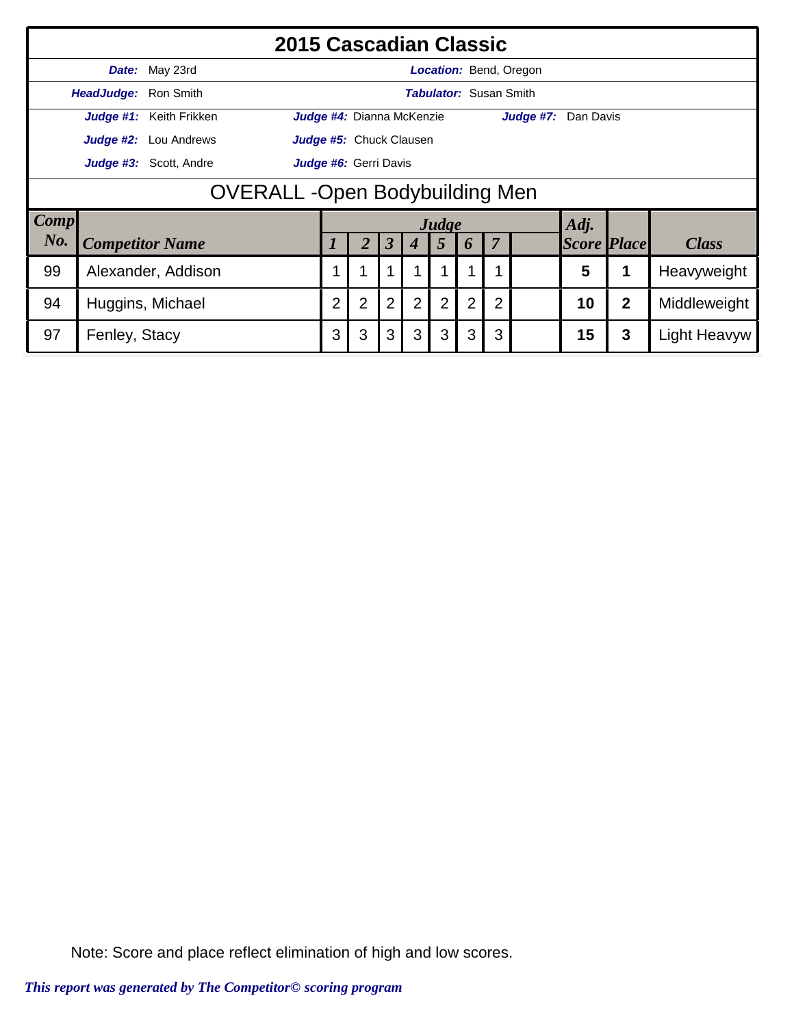|             | 2015 Cascadian Classic                          |                              |                                                                                                                                                    |                           |                      |                  |       |                               |                |                               |                    |   |                     |  |
|-------------|-------------------------------------------------|------------------------------|----------------------------------------------------------------------------------------------------------------------------------------------------|---------------------------|----------------------|------------------|-------|-------------------------------|----------------|-------------------------------|--------------------|---|---------------------|--|
|             | Date:                                           | May 23rd                     |                                                                                                                                                    |                           |                      |                  |       |                               |                | <b>Location: Bend, Oregon</b> |                    |   |                     |  |
|             | HeadJudge: Ron Smith                            |                              |                                                                                                                                                    |                           |                      |                  |       | <b>Tabulator:</b> Susan Smith |                |                               |                    |   |                     |  |
|             |                                                 | Judge #1: Keith Frikken      |                                                                                                                                                    | Judge #4: Dianna McKenzie |                      |                  |       |                               |                | Judge #7: Dan Davis           |                    |   |                     |  |
|             |                                                 | <b>Judge #2:</b> Lou Andrews |                                                                                                                                                    | Judge #5: Chuck Clausen   |                      |                  |       |                               |                |                               |                    |   |                     |  |
|             | Judge #3: Scott, Andre<br>Judge #6: Gerri Davis |                              |                                                                                                                                                    |                           |                      |                  |       |                               |                |                               |                    |   |                     |  |
|             | <b>OVERALL -Open Bodybuilding Men</b>           |                              |                                                                                                                                                    |                           |                      |                  |       |                               |                |                               |                    |   |                     |  |
| <b>Comp</b> |                                                 |                              |                                                                                                                                                    |                           |                      |                  | Judge |                               |                |                               | Adj.               |   |                     |  |
| No.         |                                                 | <b>Competitor Name</b>       |                                                                                                                                                    | 2                         | $\boldsymbol{\beta}$ | $\boldsymbol{4}$ | 5     | 6                             | $\overline{7}$ |                               | <b>Score Place</b> |   | <b>Class</b>        |  |
| 99          |                                                 | Alexander, Addison           | 5<br>Heavyweight<br>1                                                                                                                              |                           |                      |                  |       |                               |                |                               |                    |   |                     |  |
| 94          |                                                 | Huggins, Michael             | $\overline{2}$<br>$\overline{2}$<br>$\overline{2}$<br>$\overline{2}$<br>$\overline{2}$<br>$\overline{2}$<br>$\overline{2}$<br>$\overline{2}$<br>10 |                           |                      |                  |       |                               |                | Middleweight                  |                    |   |                     |  |
| 97          | Fenley, Stacy                                   |                              | 3                                                                                                                                                  | 3                         | 3                    | 3                | 3     | 3                             | 3              |                               | 15                 | 3 | <b>Light Heavyw</b> |  |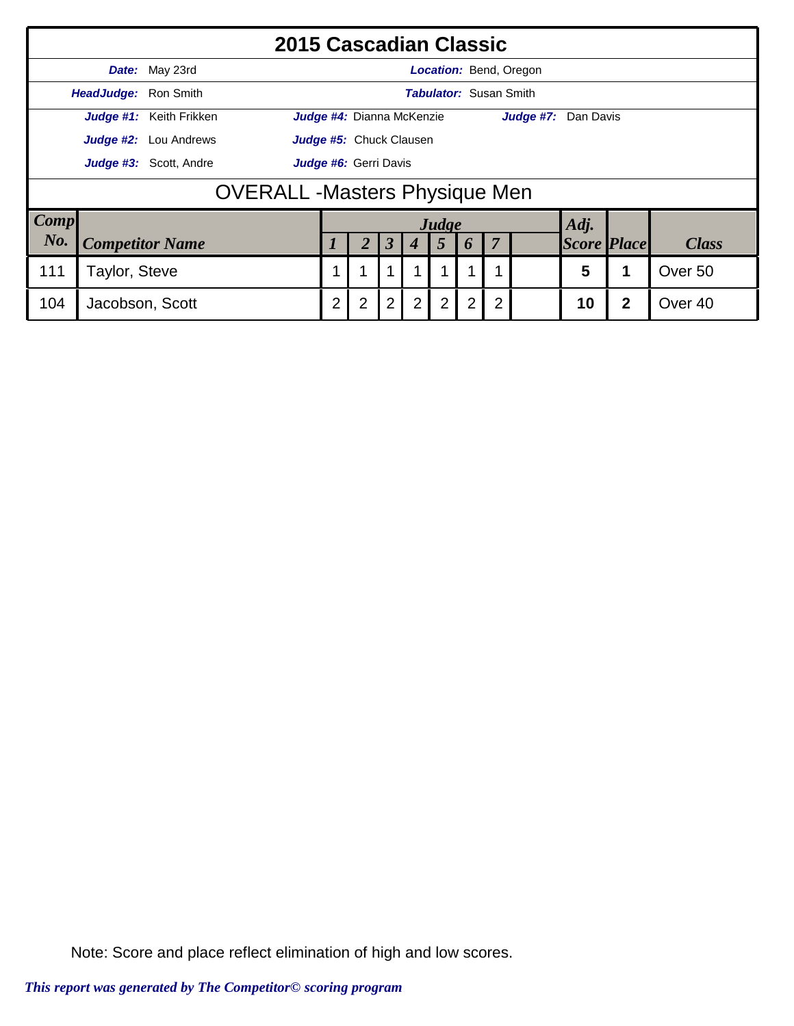|             | 2015 Cascadian Classic                          |                              |   |                |                           |   |             |                |                               |                |                               |                    |                    |              |
|-------------|-------------------------------------------------|------------------------------|---|----------------|---------------------------|---|-------------|----------------|-------------------------------|----------------|-------------------------------|--------------------|--------------------|--------------|
|             |                                                 | Date: May 23rd               |   |                |                           |   |             |                |                               |                | <b>Location: Bend, Oregon</b> |                    |                    |              |
|             | HeadJudge: Ron Smith                            |                              |   |                |                           |   |             |                | <b>Tabulator:</b> Susan Smith |                |                               |                    |                    |              |
|             |                                                 | Judge #1: Keith Frikken      |   |                | Judge #4: Dianna McKenzie |   |             |                |                               |                | Judge #7: Dan Davis           |                    |                    |              |
|             |                                                 | <b>Judge #2:</b> Lou Andrews |   |                | Judge #5: Chuck Clausen   |   |             |                |                               |                |                               |                    |                    |              |
|             | Judge #3: Scott, Andre<br>Judge #6: Gerri Davis |                              |   |                |                           |   |             |                |                               |                |                               |                    |                    |              |
|             | <b>OVERALL -Masters Physique Men</b>            |                              |   |                |                           |   |             |                |                               |                |                               |                    |                    |              |
| <b>Comp</b> |                                                 |                              |   |                |                           |   |             | Judge          |                               |                |                               | Adj.               |                    |              |
| No.         |                                                 | <b>Competitor Name</b>       |   |                |                           | 3 |             | 5              | 6                             | $\overline{7}$ |                               | <b>Score Place</b> |                    | <b>Class</b> |
| 111         | Taylor, Steve                                   |                              | 1 | 1              |                           |   |             |                | 1                             |                | 5                             |                    | Over <sub>50</sub> |              |
| 104         | Jacobson, Scott                                 |                              | 2 | $\overline{2}$ | $\overline{2}$            | 2 | $2^{\circ}$ | $\overline{2}$ | $\overline{2}$                |                | 10                            | $\mathbf{2}$       | Over <sub>40</sub> |              |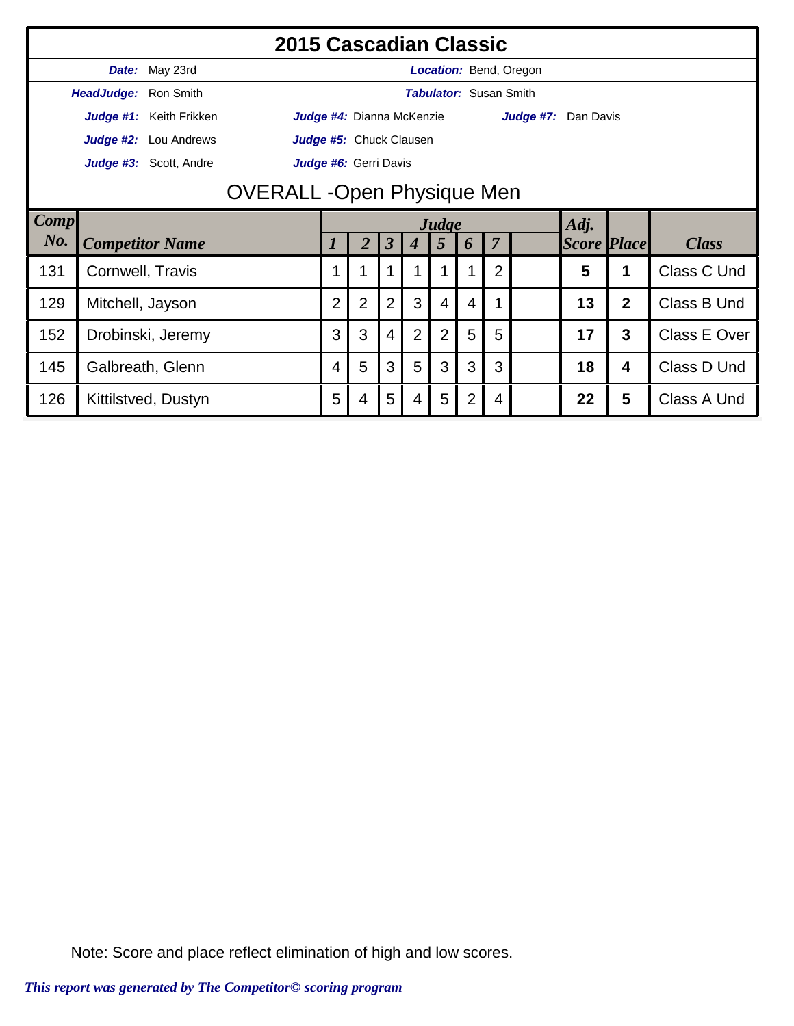|      | 2015 Cascadian Classic             |                         |  |                |                           |                      |                  |                 |   |                               |                        |                    |                         |              |
|------|------------------------------------|-------------------------|--|----------------|---------------------------|----------------------|------------------|-----------------|---|-------------------------------|------------------------|--------------------|-------------------------|--------------|
|      | Date:                              | May 23rd                |  |                |                           |                      |                  |                 |   |                               | Location: Bend, Oregon |                    |                         |              |
|      | HeadJudge: Ron Smith               |                         |  |                |                           |                      |                  |                 |   | <b>Tabulator: Susan Smith</b> |                        |                    |                         |              |
|      |                                    | Judge #1: Keith Frikken |  |                | Judge #4: Dianna McKenzie |                      |                  |                 |   |                               | Judge #7: Dan Davis    |                    |                         |              |
|      | Judge #2:                          | Lou Andrews             |  |                | Judge #5: Chuck Clausen   |                      |                  |                 |   |                               |                        |                    |                         |              |
|      |                                    | Judge #3: Scott, Andre  |  |                | Judge #6: Gerri Davis     |                      |                  |                 |   |                               |                        |                    |                         |              |
|      | <b>OVERALL</b> - Open Physique Men |                         |  |                |                           |                      |                  |                 |   |                               |                        |                    |                         |              |
| Comp |                                    |                         |  |                |                           |                      |                  | Judge           |   |                               |                        | Adj.               |                         |              |
| No.  |                                    | <b>Competitor Name</b>  |  | 1              | 2                         | $\boldsymbol{\beta}$ | $\boldsymbol{4}$ | $5\overline{)}$ | 6 | $\overline{7}$                |                        | <b>Score Place</b> |                         | <b>Class</b> |
| 131  | Cornwell, Travis                   |                         |  |                |                           |                      |                  |                 |   | $\overline{2}$                |                        | 5                  | 1                       | Class C Und  |
| 129  | Mitchell, Jayson                   |                         |  | $\overline{2}$ | $\overline{2}$            | $\overline{2}$       | 3                | 4               | 4 |                               |                        | 13                 | $\overline{2}$          | Class B Und  |
| 152  | Drobinski, Jeremy                  |                         |  | 3              | 3                         | 4                    | $\overline{2}$   | 2               | 5 | 5                             |                        | 17                 | 3                       | Class E Over |
| 145  |                                    | Galbreath, Glenn        |  | 4              | 5                         | 3                    | 5                | 3               | 3 | 3                             |                        | 18                 | $\overline{\mathbf{4}}$ | Class D Und  |
| 126  | Kittilstved, Dustyn                |                         |  | 5              | 4                         | 5                    | $\overline{4}$   | 5               | 2 | 4                             |                        | 22                 | 5                       | Class A Und  |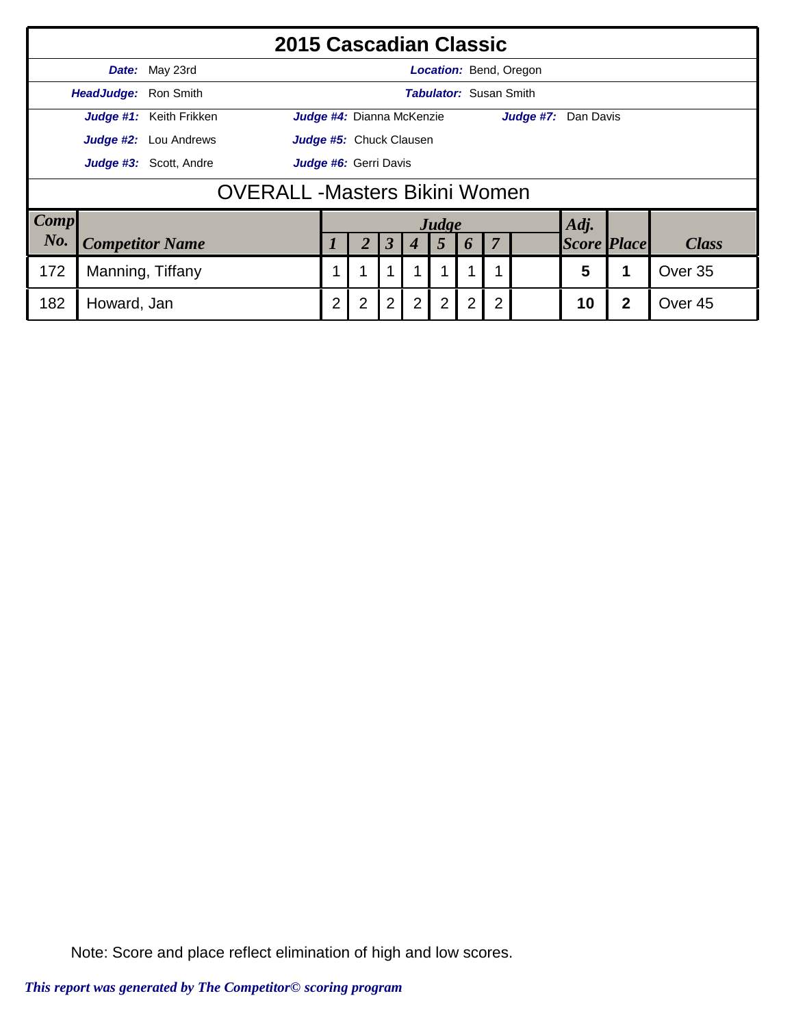|             | 2015 Cascadian Classic                          |                              |                         |                |                                  |             |                |                |                               |                |                               |                    |  |              |  |
|-------------|-------------------------------------------------|------------------------------|-------------------------|----------------|----------------------------------|-------------|----------------|----------------|-------------------------------|----------------|-------------------------------|--------------------|--|--------------|--|
|             |                                                 | Date: May 23rd               |                         |                |                                  |             |                |                |                               |                | <b>Location:</b> Bend, Oregon |                    |  |              |  |
|             | HeadJudge: Ron Smith                            |                              |                         |                |                                  |             |                |                | <b>Tabulator: Susan Smith</b> |                |                               |                    |  |              |  |
|             |                                                 | Judge #1: Keith Frikken      |                         |                | <b>Judge #4:</b> Dianna McKenzie |             |                |                |                               |                | Judge #7: Dan Davis           |                    |  |              |  |
|             |                                                 | <b>Judge #2:</b> Lou Andrews | Judge #5: Chuck Clausen |                |                                  |             |                |                |                               |                |                               |                    |  |              |  |
|             | Judge #3: Scott, Andre<br>Judge #6: Gerri Davis |                              |                         |                |                                  |             |                |                |                               |                |                               |                    |  |              |  |
|             | <b>OVERALL -Masters Bikini Women</b>            |                              |                         |                |                                  |             |                |                |                               |                |                               |                    |  |              |  |
| <b>Comp</b> |                                                 |                              |                         |                |                                  |             |                | Judge          |                               |                |                               | Adj.               |  |              |  |
| No.         |                                                 | <b>Competitor Name</b>       |                         |                |                                  | 3           | 4              | 5              | $\boldsymbol{b}$              | $\overline{7}$ |                               | <b>Score Place</b> |  | <b>Class</b> |  |
| 172         | Manning, Tiffany                                |                              |                         |                |                                  |             |                |                |                               |                |                               | 5                  |  | Over 35      |  |
| 182         |                                                 | $\overline{2}$               | 2                       | $\overline{2}$ | 2                                | $2^{\circ}$ | $\overline{2}$ | $\overline{2}$ |                               | 10             | $\mathbf 2$                   | Over <sub>45</sub> |  |              |  |